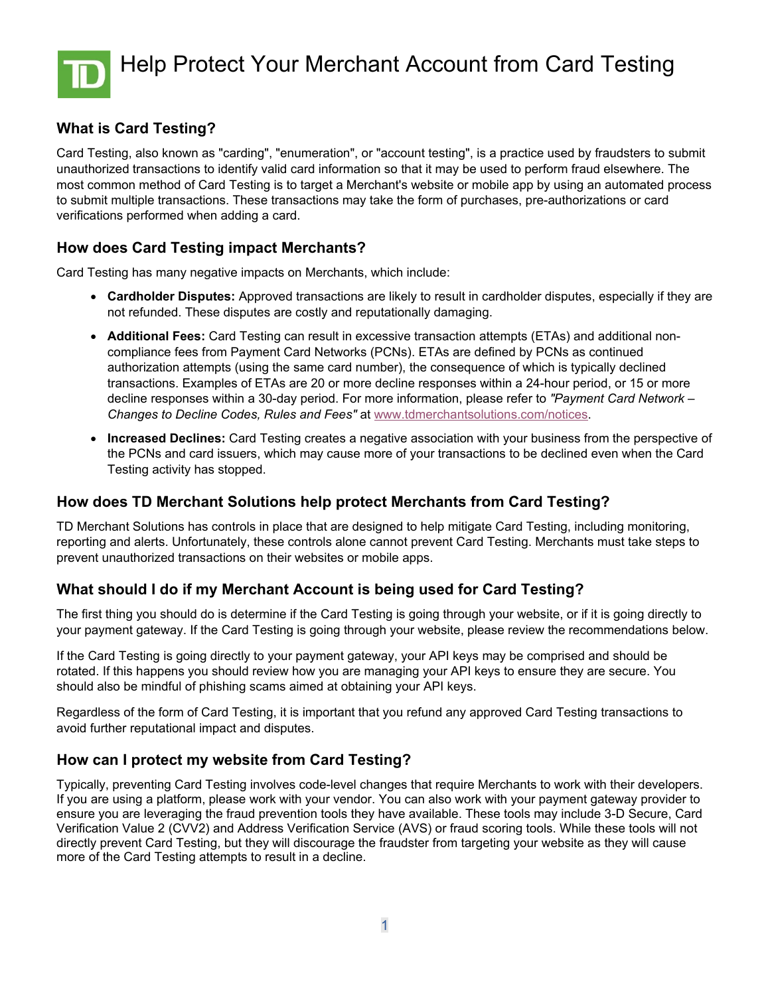

# **What is Card Testing?**

Card Testing, also known as "carding", "enumeration", or "account testing", is a practice used by fraudsters to submit unauthorized transactions to identify valid card information so that it may be used to perform fraud elsewhere. The most common method of Card Testing is to target a Merchant's website or mobile app by using an automated process to submit multiple transactions. These transactions may take the form of purchases, pre-authorizations or card verifications performed when adding a card.

### **How does Card Testing impact Merchants?**

Card Testing has many negative impacts on Merchants, which include:

- **Cardholder Disputes:** Approved transactions are likely to result in cardholder disputes, especially if they are not refunded. These disputes are costly and reputationally damaging.
- **Additional Fees:** Card Testing can result in excessive transaction attempts (ETAs) and additional noncompliance fees from Payment Card Networks (PCNs). ETAs are defined by PCNs as continued authorization attempts (using the same card number), the consequence of which is typically declined transactions. Examples of ETAs are 20 or more decline responses within a 24-hour period, or 15 or more decline responses within a 30-day period. For more information, please refer to *"Payment Card Network – Changes to Decline Codes, Rules and Fees"* at [www.tdmerchantsolutions.com/notices.](http://www.tdmerchantsolutions.com/notices)
- **Increased Declines:** Card Testing creates a negative association with your business from the perspective of the PCNs and card issuers, which may cause more of your transactions to be declined even when the Card Testing activity has stopped.

### **How does TD Merchant Solutions help protect Merchants from Card Testing?**

TD Merchant Solutions has controls in place that are designed to help mitigate Card Testing, including monitoring, reporting and alerts. Unfortunately, these controls alone cannot prevent Card Testing. Merchants must take steps to prevent unauthorized transactions on their websites or mobile apps.

# **What should I do if my Merchant Account is being used for Card Testing?**

The first thing you should do is determine if the Card Testing is going through your website, or if it is going directly to your payment gateway. If the Card Testing is going through your website, please review the recommendations below.

If the Card Testing is going directly to your payment gateway, your API keys may be comprised and should be rotated. If this happens you should review how you are managing your API keys to ensure they are secure. You should also be mindful of phishing scams aimed at obtaining your API keys.

Regardless of the form of Card Testing, it is important that you refund any approved Card Testing transactions to avoid further reputational impact and disputes.

# **How can I protect my website from Card Testing?**

Typically, preventing Card Testing involves code-level changes that require Merchants to work with their developers. If you are using a platform, please work with your vendor. You can also work with your payment gateway provider to ensure you are leveraging the fraud prevention tools they have available. These tools may include 3-D Secure, Card Verification Value 2 (CVV2) and Address Verification Service (AVS) or fraud scoring tools. While these tools will not directly prevent Card Testing, but they will discourage the fraudster from targeting your website as they will cause more of the Card Testing attempts to result in a decline.